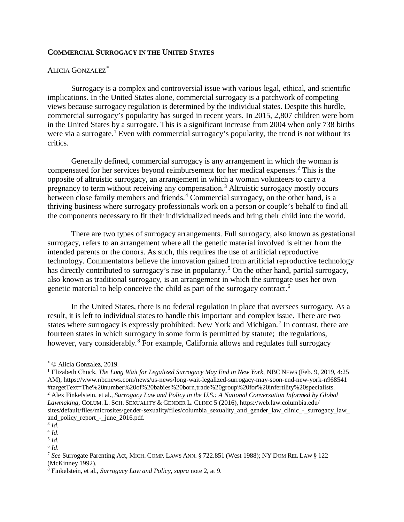## **COMMERCIAL SURROGACY IN THE UNITED STATES**

## ALICIA GONZALEZ[\\*](#page-0-0)

Surrogacy is a complex and controversial issue with various legal, ethical, and scientific implications. In the United States alone, commercial surrogacy is a patchwork of competing views because surrogacy regulation is determined by the individual states. Despite this hurdle, commercial surrogacy's popularity has surged in recent years. In 2015, 2,807 children were born in the United States by a surrogate. This is a significant increase from 2004 when only 738 births were via a surrogate.<sup>[1](#page-0-1)</sup> Even with commercial surrogacy's popularity, the trend is not without its critics.

Generally defined, commercial surrogacy is any arrangement in which the woman is compensated for her services beyond reimbursement for her medical expenses.<sup>[2](#page-0-2)</sup> This is the opposite of altruistic surrogacy, an arrangement in which a woman volunteers to carry a pregnancy to term without receiving any compensation. [3](#page-0-3) Altruistic surrogacy mostly occurs between close family members and friends. [4](#page-0-4) Commercial surrogacy, on the other hand, is a thriving business where surrogacy professionals work on a person or couple's behalf to find all the components necessary to fit their individualized needs and bring their child into the world.

There are two types of surrogacy arrangements. Full surrogacy, also known as gestational surrogacy, refers to an arrangement where all the genetic material involved is either from the intended parents or the donors. As such, this requires the use of artificial reproductive technology. Commentators believe the innovation gained from artificial reproductive technology has directly contributed to surrogacy's rise in popularity.<sup>[5](#page-0-5)</sup> On the other hand, partial surrogacy, also known as traditional surrogacy, is an arrangement in which the surrogate uses her own genetic material to help conceive the child as part of the surrogacy contract.[6](#page-0-6)

In the United States, there is no federal regulation in place that oversees surrogacy. As a result, it is left to individual states to handle this important and complex issue. There are two states where surrogacy is expressly prohibited: New York and Michigan.<sup>[7](#page-0-7)</sup> In contrast, there are fourteen states in which surrogacy in some form is permitted by statute; the regulations, however, vary considerably.<sup>[8](#page-0-8)</sup> For example, California allows and regulates full surrogacy

l

<span id="page-0-0"></span><sup>\*</sup> © Alicia Gonzalez, 2019.

<span id="page-0-1"></span><sup>1</sup> Elizabeth Chuck, *The Long Wait for Legalized Surrogacy May End in New York*, NBC NEWS (Feb. 9, 2019, 4:25 AM), https://www.nbcnews.com/news/us-news/long-wait-legalized-surrogacy-may-soon-end-new-york-n968541 #targetText=The%20number%20of%20babies%20born,trade%20group%20for%20infertility%20specialists.

<span id="page-0-2"></span><sup>2</sup> Alex Finkelstein, et al., *Surrogacy Law and Policy in the U.S.: A National Conversation Informed by Global Lawmaking*, COLUM. L. SCH. SEXUALITY & GENDER L. CLINIC 5 (2016), https://web.law.columbia.edu/ sites/default/files/microsites/gender-sexuality/files/columbia\_sexuality\_and\_gender\_law\_clinic\_-\_surrogacy\_law\_ and\_policy\_report\_-\_june\_2016.pdf. 3 *Id*.

<span id="page-0-4"></span><span id="page-0-3"></span><sup>4</sup> *Id*.

<span id="page-0-5"></span> $\frac{5}{6}$  *Id*.

<span id="page-0-6"></span>

<span id="page-0-7"></span><sup>&</sup>lt;sup>7</sup> See Surrogate Parenting Act, MICH. COMP. LAWS ANN. § 722.851 (West 1988); NY DOM REL LAW § 122 (McKinney 1992).

<span id="page-0-8"></span><sup>8</sup> Finkelstein, et al., *Surrogacy Law and Policy, supra* note 2, at 9.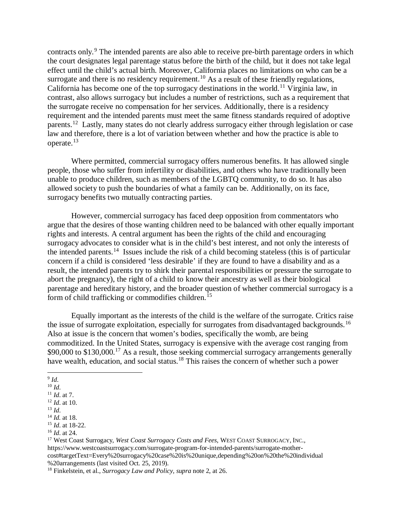contracts only.<sup>[9](#page-1-0)</sup> The intended parents are also able to receive pre-birth parentage orders in which the court designates legal parentage status before the birth of the child, but it does not take legal effect until the child's actual birth. Moreover, California places no limitations on who can be a surrogate and there is no residency requirement.<sup>[10](#page-1-1)</sup> As a result of these friendly regulations, California has become one of the top surrogacy destinations in the world.<sup>[11](#page-1-2)</sup> Virginia law, in contrast, also allows surrogacy but includes a number of restrictions, such as a requirement that the surrogate receive no compensation for her services. Additionally, there is a residency requirement and the intended parents must meet the same fitness standards required of adoptive parents.[12](#page-1-3) Lastly, many states do not clearly address surrogacy either through legislation or case law and therefore, there is a lot of variation between whether and how the practice is able to operate. [13](#page-1-4)

Where permitted, commercial surrogacy offers numerous benefits. It has allowed single people, those who suffer from infertility or disabilities, and others who have traditionally been unable to produce children, such as members of the LGBTQ community, to do so. It has also allowed society to push the boundaries of what a family can be. Additionally, on its face, surrogacy benefits two mutually contracting parties.

However, commercial surrogacy has faced deep opposition from commentators who argue that the desires of those wanting children need to be balanced with other equally important rights and interests. A central argument has been the rights of the child and encouraging surrogacy advocates to consider what is in the child's best interest, and not only the interests of the intended parents. [14](#page-1-5) Issues include the risk of a child becoming stateless (this is of particular concern if a child is considered 'less desirable' if they are found to have a disability and as a result, the intended parents try to shirk their parental responsibilities or pressure the surrogate to abort the pregnancy), the right of a child to know their ancestry as well as their biological parentage and hereditary history, and the broader question of whether commercial surrogacy is a form of child trafficking or commodifies children.<sup>[15](#page-1-6)</sup>

Equally important as the interests of the child is the welfare of the surrogate. Critics raise the issue of surrogate exploitation, especially for surrogates from disadvantaged backgrounds.<sup>[16](#page-1-7)</sup> Also at issue is the concern that women's bodies, specifically the womb, are being commoditized. In the United States, surrogacy is expensive with the average cost ranging from \$90,000 to \$130,000.<sup>[17](#page-1-8)</sup> As a result, those seeking commercial surrogacy arrangements generally have wealth, education, and social status.<sup>[18](#page-1-9)</sup> This raises the concern of whether such a power

 $\overline{\phantom{a}}$ <sup>9</sup> *Id*.

<span id="page-1-2"></span>

<span id="page-1-1"></span><span id="page-1-0"></span><sup>&</sup>lt;sup>10</sup> *Id.* <br><sup>11</sup> *Id.* at 7.<br><sup>12</sup> *Id.* at 10.<br><sup>13</sup> *Id.* 

<span id="page-1-5"></span><span id="page-1-4"></span><span id="page-1-3"></span>

<sup>13</sup> *Id*. 14 *Id.* at 18.

<span id="page-1-6"></span><sup>15</sup> *Id*. at 18-22.

<span id="page-1-7"></span><sup>16</sup> *Id*. at 24.

<span id="page-1-8"></span><sup>17</sup> West Coast Surrogacy, *West Coast Surrogacy Costs and Fees*, WEST COAST SURROGACY, INC., https://www.westcoastsurrogacy.com/surrogate-program-for-intended-parents/surrogate-mothercost#targetText=Every%20surrogacy%20case%20is%20unique,depending%20on%20the%20individual

<span id="page-1-9"></span><sup>&</sup>lt;sup>18</sup> Finkelstein, et al., *Surrogacy Law and Policy, supra* note 2, at 26.